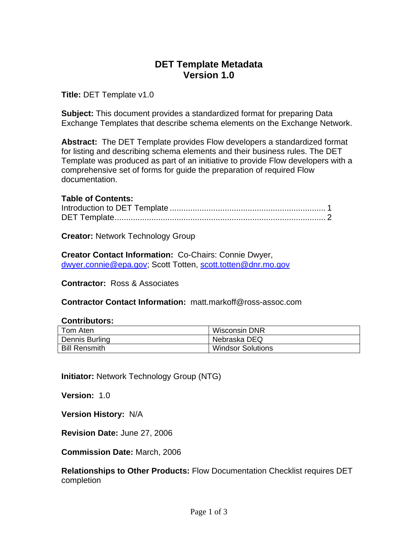# **DET Template Metadata Version 1.0**

**Title:** DET Template v1.0

**Subject:** This document provides a standardized format for preparing Data Exchange Templates that describe schema elements on the Exchange Network.

**Abstract:** The DET Template provides Flow developers a standardized format for listing and describing schema elements and their business rules. The DET Template was produced as part of an initiative to provide Flow developers with a comprehensive set of forms for guide the preparation of required Flow documentation.

# **Table of Contents:**

**Creator:** Network Technology Group

**Creator Contact Information:** Co-Chairs: Connie Dwyer, [dwyer.connie@epa.gov;](mailto:dwyer.connie@epa.gov) Scott Totten, [scott.totten@dnr.mo.gov](mailto:scott.totten@dnr.mo.gov)

**Contractor:** Ross & Associates

**Contractor Contact Information:** matt.markoff@ross-assoc.com

## **Contributors:**

| Tom Aten             | Wisconsin DNR            |
|----------------------|--------------------------|
| Dennis Burling       | Nebraska DEQ             |
| <b>Bill Rensmith</b> | <b>Windsor Solutions</b> |

**Initiator:** Network Technology Group (NTG)

**Version:** 1.0

**Version History:** N/A

**Revision Date:** June 27, 2006

**Commission Date:** March, 2006

**Relationships to Other Products:** Flow Documentation Checklist requires DET completion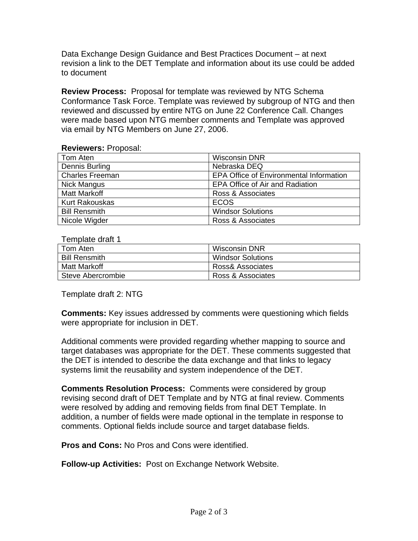Data Exchange Design Guidance and Best Practices Document – at next revision a link to the DET Template and information about its use could be added to document

**Review Process:** Proposal for template was reviewed by NTG Schema Conformance Task Force. Template was reviewed by subgroup of NTG and then reviewed and discussed by entire NTG on June 22 Conference Call. Changes were made based upon NTG member comments and Template was approved via email by NTG Members on June 27, 2006.

### **Reviewers:** Proposal:

| Tom Aten               | <b>Wisconsin DNR</b>                           |
|------------------------|------------------------------------------------|
| Dennis Burling         | Nebraska DEQ                                   |
| <b>Charles Freeman</b> | <b>EPA Office of Environmental Information</b> |
| Nick Mangus            | EPA Office of Air and Radiation                |
| <b>Matt Markoff</b>    | Ross & Associates                              |
| <b>Kurt Rakouskas</b>  | <b>ECOS</b>                                    |
| <b>Bill Rensmith</b>   | <b>Windsor Solutions</b>                       |
| Nicole Wigder          | Ross & Associates                              |

### Template draft 1

| l Tom Aten           | Wisconsin DNR            |
|----------------------|--------------------------|
| <b>Bill Rensmith</b> | <b>Windsor Solutions</b> |
| Matt Markoff         | Ross& Associates         |
| Steve Abercrombie    | Ross & Associates        |

Template draft 2: NTG

**Comments:** Key issues addressed by comments were questioning which fields were appropriate for inclusion in DET.

Additional comments were provided regarding whether mapping to source and target databases was appropriate for the DET. These comments suggested that the DET is intended to describe the data exchange and that links to legacy systems limit the reusability and system independence of the DET.

**Comments Resolution Process:** Comments were considered by group revising second draft of DET Template and by NTG at final review. Comments were resolved by adding and removing fields from final DET Template. In addition, a number of fields were made optional in the template in response to comments. Optional fields include source and target database fields.

**Pros and Cons:** No Pros and Cons were identified.

**Follow-up Activities:** Post on Exchange Network Website.